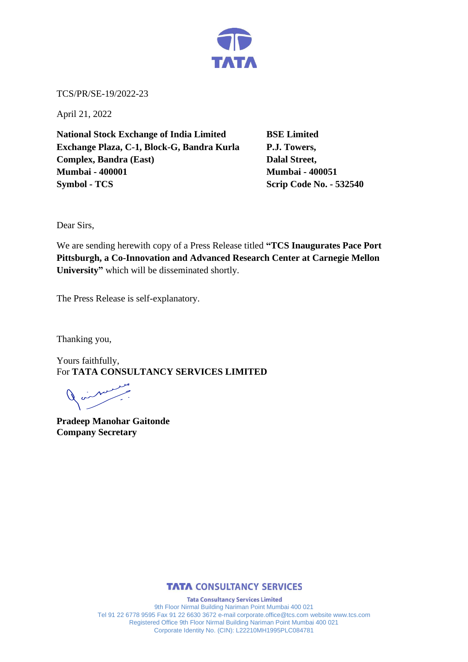

TCS/PR/SE-19/2022-23

April 21, 2022

**National Stock Exchange of India Limited BSE Limited Exchange Plaza, C-1, Block-G, Bandra Kurla P.J. Towers, Complex, Bandra (East)** Dalal Street, **Mumbai - 400001 Mumbai - 400051 Symbol - TCS Scrip Code No. - 532540** 

Dear Sirs,

We are sending herewith copy of a Press Release titled **"TCS Inaugurates Pace Port Pittsburgh, a Co-Innovation and Advanced Research Center at Carnegie Mellon University"** which will be disseminated shortly.

The Press Release is self-explanatory.

Thanking you,

Yours faithfully, For **TATA CONSULTANCY SERVICES LIMITED**

 $\begin{array}{c} \nearrow \end{array}$ 

**Pradeep Manohar Gaitonde Company Secretary** 



**Tata Consultancy Services Limited** 9th Floor Nirmal Building Nariman Point Mumbai 400 021 Tel 91 22 6778 9595 Fax 91 22 6630 3672 e-mail corporate.office@tcs.com website www.tcs.com Registered Office 9th Floor Nirmal Building Nariman Point Mumbai 400 021 Corporate Identity No. (CIN): L22210MH1995PLC084781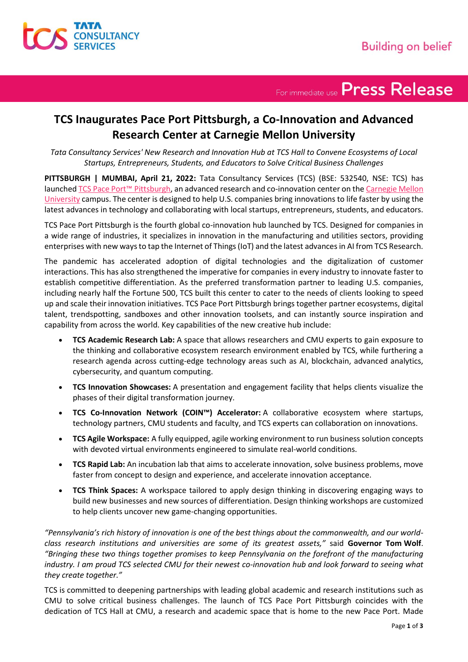

For immediate use Press Release

### **TCS Inaugurates Pace Port Pittsburgh, a Co-Innovation and Advanced Research Center at Carnegie Mellon University**

*Tata Consultancy Services' New Research and Innovation Hub at TCS Hall to Convene Ecosystems of Local Startups, Entrepreneurs, Students, and Educators to Solve Critical Business Challenges*

**PITTSBURGH | MUMBAI, April 21, 2022:** Tata Consultancy Services (TCS) (BSE: 532540, NSE: TCS) has launched [TCS Pace Port](https://www.tcs.com/tcs-pace/pace-ports/us-pace-port-enterprise-innovation)™ Pittsburgh, an advanced research and co-innovation center on th[e Carnegie Mellon](https://www.cmu.edu/)  [University](https://www.cmu.edu/) campus. The center is designed to help U.S. companies bring innovations to life faster by using the latest advances in technology and collaborating with local startups, entrepreneurs, students, and educators.

TCS Pace Port Pittsburgh is the fourth global co-innovation hub launched by TCS. Designed for companies in a wide range of industries, it specializes in innovation in the manufacturing and utilities sectors, providing enterprises with new ways to tap the Internet of Things (IoT) and the latest advances in AI from TCS Research.

The pandemic has accelerated adoption of digital technologies and the digitalization of customer interactions. This has also strengthened the imperative for companies in every industry to innovate faster to establish competitive differentiation. As the preferred transformation partner to leading U.S. companies, including nearly half the Fortune 500, TCS built this center to cater to the needs of clients looking to speed up and scale their innovation initiatives. TCS Pace Port Pittsburgh brings together partner ecosystems, digital talent, trendspotting, sandboxes and other innovation toolsets, and can instantly source inspiration and capability from across the world. Key capabilities of the new creative hub include:

- **TCS Academic Research Lab:** A space that allows researchers and CMU experts to gain exposure to the thinking and collaborative ecosystem research environment enabled by TCS, while furthering a research agenda across cutting-edge technology areas such as AI, blockchain, advanced analytics, cybersecurity, and quantum computing.
- **TCS Innovation Showcases:** A presentation and engagement facility that helps clients visualize the phases of their digital transformation journey.
- **TCS Co-Innovation Network (COIN™) Accelerator:** A collaborative ecosystem where startups, technology partners, CMU students and faculty, and TCS experts can collaboration on innovations.
- **TCS Agile Workspace:** A fully equipped, agile working environment to run business solution concepts with devoted virtual environments engineered to simulate real-world conditions.
- **TCS Rapid Lab:** An incubation lab that aims to accelerate innovation, solve business problems, move faster from concept to design and experience, and accelerate innovation acceptance.
- **TCS Think Spaces:** A workspace tailored to apply design thinking in discovering engaging ways to build new businesses and new sources of differentiation. Design thinking workshops are customized to help clients uncover new game-changing opportunities.

*"Pennsylvania's rich history of innovation is one of the best things about the commonwealth, and our worldclass research institutions and universities are some of its greatest assets,"* said **Governor Tom Wolf**. *"Bringing these two things together promises to keep Pennsylvania on the forefront of the manufacturing industry. I am proud TCS selected CMU for their newest co-innovation hub and look forward to seeing what they create together."*

TCS is committed to deepening partnerships with leading global academic and research institutions such as CMU to solve critical business challenges. The launch of TCS Pace Port Pittsburgh coincides with the dedication of TCS Hall at CMU, a research and academic space that is home to the new Pace Port. Made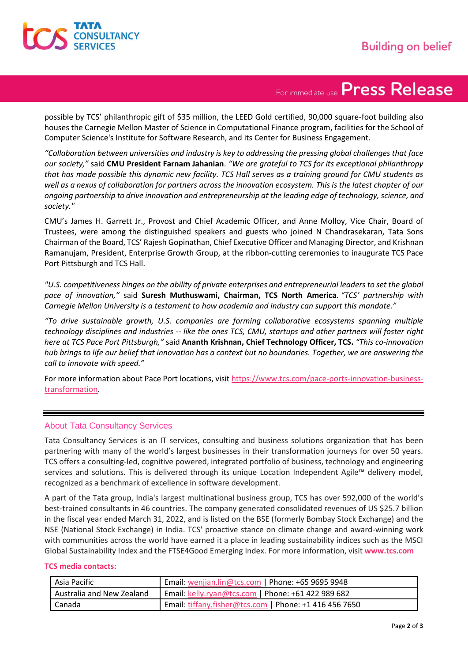

## For immediate use Press Release

possible by TCS' philanthropic gift of \$35 million, the LEED Gold certified, 90,000 square-foot building also houses the Carnegie Mellon Master of Science in Computational Finance program, facilities for the School of Computer Science's Institute for Software Research, and its Center for Business Engagement.

*"Collaboration between universities and industry is key to addressing the pressing global challenges that face our society,"* said **CMU President Farnam Jahanian**. *"We are grateful to TCS for its exceptional philanthropy that has made possible this dynamic new facility. TCS Hall serves as a training ground for CMU students as well as a nexus of collaboration for partners across the innovation ecosystem. This is the latest chapter of our ongoing partnership to drive innovation and entrepreneurship at the leading edge of technology, science, and society."*

CMU's James H. Garrett Jr., Provost and Chief Academic Officer, and Anne Molloy, Vice Chair, Board of Trustees, were among the distinguished speakers and guests who joined N Chandrasekaran, Tata Sons Chairman of the Board, TCS' Rajesh Gopinathan, Chief Executive Officer and Managing Director, and Krishnan Ramanujam, President, Enterprise Growth Group, at the ribbon-cutting ceremonies to inaugurate TCS Pace Port Pittsburgh and TCS Hall.

*"U.S. competitiveness hinges on the ability of private enterprises and entrepreneurial leaders to set the global pace of innovation,"* said **Suresh Muthuswami, Chairman, TCS North America***. "TCS' partnership with Carnegie Mellon University is a testament to how academia and industry can support this mandate."*

*"To drive sustainable growth, U.S. companies are forming collaborative ecosystems spanning multiple technology disciplines and industries -- like the ones TCS, CMU, startups and other partners will foster right here at TCS Pace Port Pittsburgh,"* said **Ananth Krishnan, Chief Technology Officer, TCS.** *"This co-innovation hub brings to life our belief that innovation has a context but no boundaries. Together, we are answering the call to innovate with speed."* 

For more information about Pace Port locations, visi[t https://www.tcs.com/pace-ports-innovation-business](https://www.tcs.com/pace-ports-innovation-business-transformation)[transformation.](https://www.tcs.com/pace-ports-innovation-business-transformation)

#### About Tata Consultancy Services

Tata Consultancy Services is an IT services, consulting and business solutions organization that has been partnering with many of the world's largest businesses in their transformation journeys for over 50 years. TCS offers a consulting-led, cognitive powered, integrated portfolio of business, technology and engineering services and solutions. This is delivered through its unique Location Independent Agile™ delivery model, recognized as a benchmark of excellence in software development.

A part of the Tata group, India's largest multinational business group, TCS has over 592,000 of the world's best-trained consultants in 46 countries. The company generated consolidated revenues of US \$25.7 billion in the fiscal year ended March 31, 2022, and is listed on the BSE (formerly Bombay Stock Exchange) and the NSE (National Stock Exchange) in India. TCS' proactive stance on climate change and award-winning work with communities across the world have earned it a place in leading sustainability indices such as the MSCI Global Sustainability Index and the FTSE4Good Emerging Index. For more information, visit **[www.tcs.com](https://www.tcs.com/)**

#### **TCS media contacts:**

| Asia Pacific              | Email: wenjian.lin@tcs.com   Phone: +65 9695 9948      |
|---------------------------|--------------------------------------------------------|
| Australia and New Zealand | Email: kelly.ryan@tcs.com   Phone: +61 422 989 682     |
| Canada                    | Email: tiffany.fisher@tcs.com   Phone: +1 416 456 7650 |